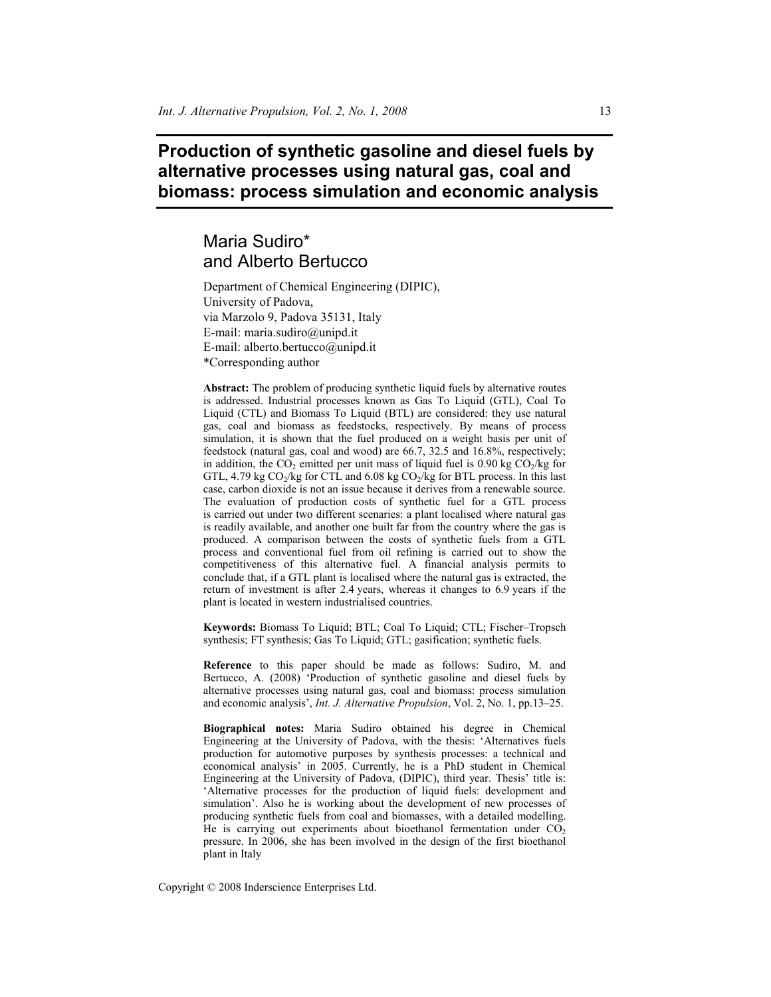# **Production of synthetic gasoline and diesel fuels by alternative processes using natural gas, coal and biomass: process simulation and economic analysis**

# Maria Sudiro\* and Alberto Bertucco

Department of Chemical Engineering (DIPIC), University of Padova, via Marzolo 9, Padova 35131, Italy E-mail: maria.sudiro@unipd.it E-mail: alberto.bertucco@unipd.it \*Corresponding author

**Abstract:** The problem of producing synthetic liquid fuels by alternative routes is addressed. Industrial processes known as Gas To Liquid (GTL), Coal To Liquid (CTL) and Biomass To Liquid (BTL) are considered: they use natural gas, coal and biomass as feedstocks, respectively. By means of process simulation, it is shown that the fuel produced on a weight basis per unit of feedstock (natural gas, coal and wood) are 66.7, 32.5 and 16.8%, respectively; in addition, the  $CO_2$  emitted per unit mass of liquid fuel is 0.90 kg  $CO_2/kg$  for GTL, 4.79 kg  $CO_2/kg$  for CTL and 6.08 kg  $CO_2/kg$  for BTL process. In this last case, carbon dioxide is not an issue because it derives from a renewable source. The evaluation of production costs of synthetic fuel for a GTL process is carried out under two different scenaries: a plant localised where natural gas is readily available, and another one built far from the country where the gas is produced. A comparison between the costs of synthetic fuels from a GTL process and conventional fuel from oil refining is carried out to show the competitiveness of this alternative fuel. A financial analysis permits to conclude that, if a GTL plant is localised where the natural gas is extracted, the return of investment is after 2.4 years, whereas it changes to 6.9 years if the plant is located in western industrialised countries.

**Keywords:** Biomass To Liquid; BTL; Coal To Liquid; CTL; Fischer–Tropsch synthesis; FT synthesis; Gas To Liquid; GTL; gasification; synthetic fuels.

**Reference** to this paper should be made as follows: Sudiro, M. and Bertucco, A. (2008) 'Production of synthetic gasoline and diesel fuels by alternative processes using natural gas, coal and biomass: process simulation and economic analysis', *Int. J. Alternative Propulsion*, Vol. 2, No. 1, pp.13–25.

**Biographical notes:** Maria Sudiro obtained his degree in Chemical Engineering at the University of Padova, with the thesis: 'Alternatives fuels production for automotive purposes by synthesis processes: a technical and economical analysis' in 2005. Currently, he is a PhD student in Chemical Engineering at the University of Padova, (DIPIC), third year. Thesis' title is: 'Alternative processes for the production of liquid fuels: development and simulation'. Also he is working about the development of new processes of producing synthetic fuels from coal and biomasses, with a detailed modelling. He is carrying out experiments about bioethanol fermentation under  $CO<sub>2</sub>$ pressure. In 2006, she has been involved in the design of the first bioethanol plant in Italy

Copyright © 2008 Inderscience Enterprises Ltd.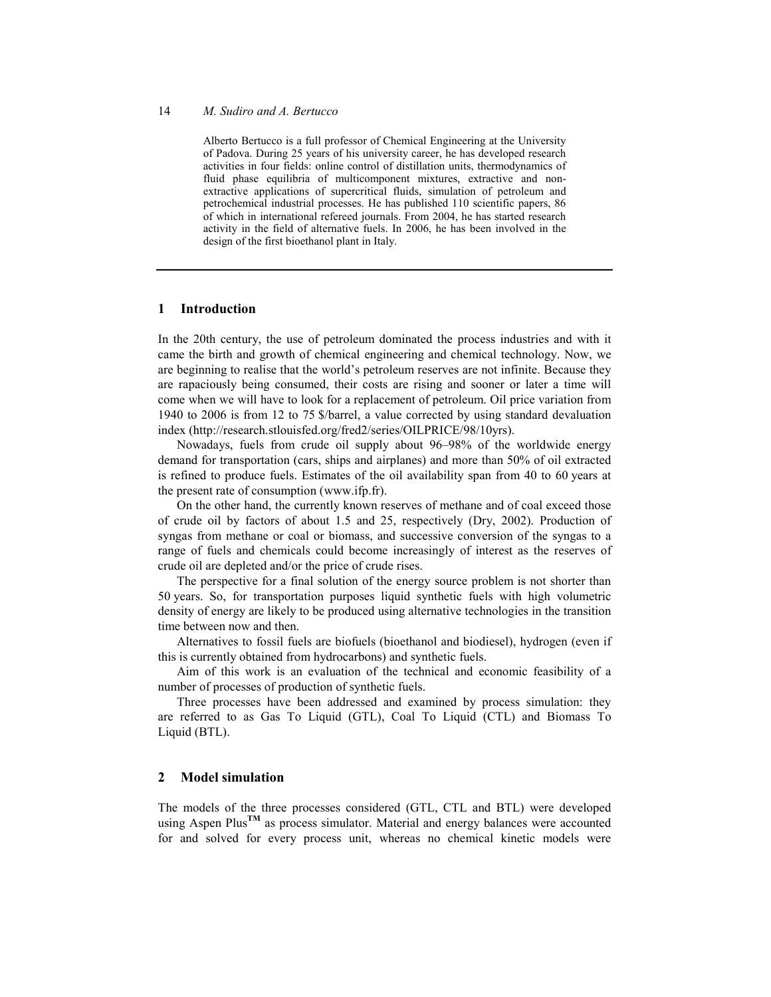Alberto Bertucco is a full professor of Chemical Engineering at the University of Padova. During 25 years of his university career, he has developed research activities in four fields: online control of distillation units, thermodynamics of fluid phase equilibria of multicomponent mixtures, extractive and nonextractive applications of supercritical fluids, simulation of petroleum and petrochemical industrial processes. He has published 110 scientific papers, 86 of which in international refereed journals. From 2004, he has started research activity in the field of alternative fuels. In 2006, he has been involved in the design of the first bioethanol plant in Italy.

## **1 Introduction**

In the 20th century, the use of petroleum dominated the process industries and with it came the birth and growth of chemical engineering and chemical technology. Now, we are beginning to realise that the world's petroleum reserves are not infinite. Because they are rapaciously being consumed, their costs are rising and sooner or later a time will come when we will have to look for a replacement of petroleum. Oil price variation from 1940 to 2006 is from 12 to 75 \$/barrel, a value corrected by using standard devaluation index (http://research.stlouisfed.org/fred2/series/OILPRICE/98/10yrs).

Nowadays, fuels from crude oil supply about 96–98% of the worldwide energy demand for transportation (cars, ships and airplanes) and more than 50% of oil extracted is refined to produce fuels. Estimates of the oil availability span from 40 to 60 years at the present rate of consumption (www.ifp.fr).

On the other hand, the currently known reserves of methane and of coal exceed those of crude oil by factors of about 1.5 and 25, respectively (Dry, 2002). Production of syngas from methane or coal or biomass, and successive conversion of the syngas to a range of fuels and chemicals could become increasingly of interest as the reserves of crude oil are depleted and/or the price of crude rises.

The perspective for a final solution of the energy source problem is not shorter than 50 years. So, for transportation purposes liquid synthetic fuels with high volumetric density of energy are likely to be produced using alternative technologies in the transition time between now and then.

Alternatives to fossil fuels are biofuels (bioethanol and biodiesel), hydrogen (even if this is currently obtained from hydrocarbons) and synthetic fuels.

Aim of this work is an evaluation of the technical and economic feasibility of a number of processes of production of synthetic fuels.

Three processes have been addressed and examined by process simulation: they are referred to as Gas To Liquid (GTL), Coal To Liquid (CTL) and Biomass To Liquid (BTL).

# **2 Model simulation**

The models of the three processes considered (GTL, CTL and BTL) were developed using Aspen Plus<sup>TM</sup> as process simulator. Material and energy balances were accounted for and solved for every process unit, whereas no chemical kinetic models were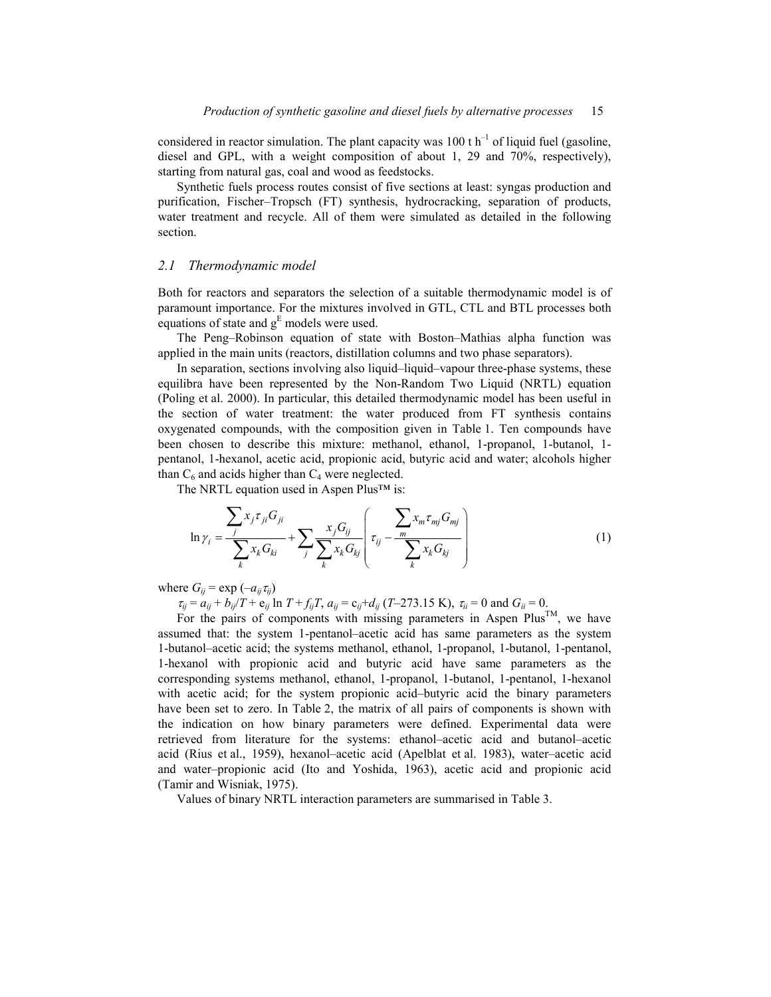considered in reactor simulation. The plant capacity was 100 t  $h^{-1}$  of liquid fuel (gasoline, diesel and GPL, with a weight composition of about 1, 29 and 70%, respectively), starting from natural gas, coal and wood as feedstocks.

Synthetic fuels process routes consist of five sections at least: syngas production and purification, Fischer–Tropsch (FT) synthesis, hydrocracking, separation of products, water treatment and recycle. All of them were simulated as detailed in the following section.

### *2.1 Thermodynamic model*

Both for reactors and separators the selection of a suitable thermodynamic model is of paramount importance. For the mixtures involved in GTL, CTL and BTL processes both equations of state and  $g<sup>E</sup>$  models were used.

The Peng–Robinson equation of state with Boston–Mathias alpha function was applied in the main units (reactors, distillation columns and two phase separators).

In separation, sections involving also liquid–liquid–vapour three-phase systems, these equilibra have been represented by the Non-Random Two Liquid (NRTL) equation (Poling et al. 2000). In particular, this detailed thermodynamic model has been useful in the section of water treatment: the water produced from FT synthesis contains oxygenated compounds, with the composition given in Table 1. Ten compounds have been chosen to describe this mixture: methanol, ethanol, 1-propanol, 1-butanol, 1 pentanol, 1-hexanol, acetic acid, propionic acid, butyric acid and water; alcohols higher than  $C_6$  and acids higher than  $C_4$  were neglected.

The NRTL equation used in Aspen Plus™ is:

$$
\ln \gamma_{i} = \frac{\sum_{j} x_{j} \tau_{ji} G_{ji}}{\sum_{k} x_{k} G_{ki}} + \sum_{j} \frac{x_{j} G_{ij}}{\sum_{k} x_{k} G_{kj}} \left( \tau_{ij} - \frac{\sum_{m} x_{m} \tau_{mj} G_{mj}}{\sum_{k} x_{k} G_{kj}} \right)
$$
(1)

where  $G_{ij}$  = exp  $(-a_{ij}\tau_{ij})$ 

 $\tau_{ii} = a_{ii} + b_{ii}/T + e_{ii}$  ln  $T + f_{ii}T$ ,  $a_{ii} = c_{ii} + d_{ii}$  (*T*–273.15 K),  $\tau_{ii} = 0$  and  $G_{ii} = 0$ .

For the pairs of components with missing parameters in Aspen  $Plus^{TM}$ , we have assumed that: the system 1-pentanol–acetic acid has same parameters as the system 1-butanol–acetic acid; the systems methanol, ethanol, 1-propanol, 1-butanol, 1-pentanol, 1-hexanol with propionic acid and butyric acid have same parameters as the corresponding systems methanol, ethanol, 1-propanol, 1-butanol, 1-pentanol, 1-hexanol with acetic acid; for the system propionic acid–butyric acid the binary parameters have been set to zero. In Table 2, the matrix of all pairs of components is shown with the indication on how binary parameters were defined. Experimental data were retrieved from literature for the systems: ethanol–acetic acid and butanol–acetic acid (Rius et al., 1959), hexanol–acetic acid (Apelblat et al. 1983), water–acetic acid and water–propionic acid (Ito and Yoshida, 1963), acetic acid and propionic acid (Tamir and Wisniak, 1975).

Values of binary NRTL interaction parameters are summarised in Table 3.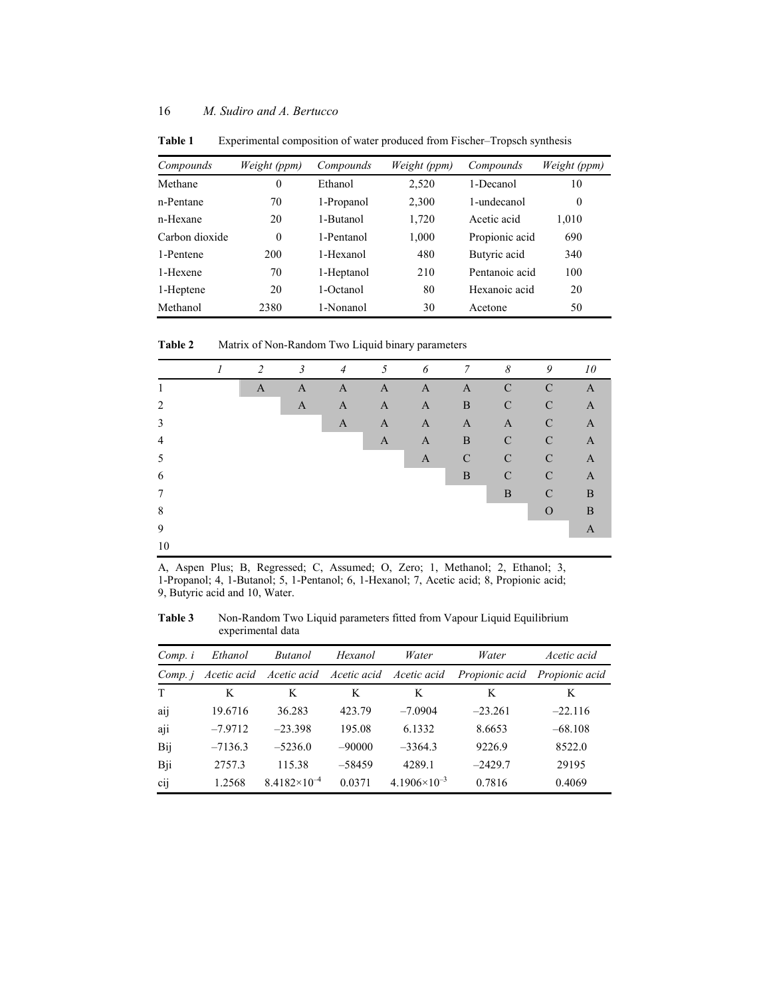| Compounds      | Weight (ppm)     | Compounds  | Weight (ppm) | Compounds      | Weight (ppm)     |
|----------------|------------------|------------|--------------|----------------|------------------|
| Methane        | $\boldsymbol{0}$ | Ethanol    | 2,520        | 1-Decanol      | 10               |
| n-Pentane      | 70               | 1-Propanol | 2,300        | 1-undecanol    | $\boldsymbol{0}$ |
| n-Hexane       | 20               | 1-Butanol  | 1,720        | Acetic acid    | 1,010            |
| Carbon dioxide | $\theta$         | 1-Pentanol | 1,000        | Propionic acid | 690              |
| 1-Pentene      | 200              | 1-Hexanol  | 480          | Butyric acid   | 340              |
| 1-Hexene       | 70               | 1-Heptanol | 210          | Pentanoic acid | 100              |
| 1-Heptene      | 20               | 1-Octanol  | 80           | Hexanoic acid  | 20               |
| Methanol       | 2380             | 1-Nonanol  | 30           | Acetone        | 50               |

**Table 1** Experimental composition of water produced from Fischer–Tropsch synthesis

**Table 2** Matrix of Non-Random Two Liquid binary parameters

|                | 2            | $\mathfrak{Z}$ | $\overline{4}$ | $5\overline{)}$ | $\delta$     | $\overline{7}$ | 8             | 9              | 10           |
|----------------|--------------|----------------|----------------|-----------------|--------------|----------------|---------------|----------------|--------------|
|                | $\mathbf{A}$ | $\mathbf{A}$   | $\mathbf{A}$   | $\mathbf{A}$    | $\mathbf{A}$ | $\mathbf{A}$   | $\mathcal{C}$ | $\mathbf C$    | $\mathbf{A}$ |
| $\mathfrak{D}$ |              | $\mathbf{A}$   | A              | A               | A            | B              | $\mathcal{C}$ | ${\bf C}$      | $\mathbf{A}$ |
| 3              |              |                | A              | A               | A            | $\mathbf{A}$   | A             | $\mathcal{C}$  | $\mathbf{A}$ |
| $\overline{4}$ |              |                |                | A               | $\mathbf{A}$ | $\mathbf{B}$   | $\mathcal{C}$ | $\mathcal{C}$  | $\mathbf{A}$ |
| 5              |              |                |                |                 | $\mathbf{A}$ | $\mathcal{C}$  | $\mathcal{C}$ | $\mathcal{C}$  | $\mathbf{A}$ |
| 6              |              |                |                |                 |              | B              | $\mathcal{C}$ | $\mathcal{C}$  | $\mathbf{A}$ |
| 7              |              |                |                |                 |              |                | B             | $\mathcal{C}$  | B            |
| 8              |              |                |                |                 |              |                |               | $\overline{O}$ | B            |
| 9              |              |                |                |                 |              |                |               |                | A            |
| 10             |              |                |                |                 |              |                |               |                |              |

A, Aspen Plus; B, Regressed; C, Assumed; O, Zero; 1, Methanol; 2, Ethanol; 3, 1-Propanol; 4, 1-Butanol; 5, 1-Pentanol; 6, 1-Hexanol; 7, Acetic acid; 8, Propionic acid; 9, Butyric acid and 10, Water.

**Table 3** Non-Random Two Liquid parameters fitted from Vapour Liquid Equilibrium experimental data

| Comp. i | Ethanol     | <b>Butanol</b>        | Hexanol                             | Water                 | Water          | Acetic acid    |
|---------|-------------|-----------------------|-------------------------------------|-----------------------|----------------|----------------|
| Comp. j | Acetic acid |                       | Acetic acid Acetic acid Acetic acid |                       | Propionic acid | Propionic acid |
| T       | K           | K                     | K                                   | K                     | K              | K              |
| aij     | 19.6716     | 36.283                | 423.79                              | $-7.0904$             | $-23.261$      | $-22.116$      |
| aji     | $-7.9712$   | $-23.398$             | 195.08                              | 6.1332                | 8.6653         | $-68.108$      |
| Bij     | $-7136.3$   | $-5236.0$             | $-90000$                            | $-3364.3$             | 9226.9         | 8522.0         |
| Bji     | 2757.3      | 115.38                | $-58459$                            | 4289.1                | $-2429.7$      | 29195          |
| cij     | 1.2568      | $8.4182\times10^{-4}$ | 0.0371                              | $4.1906\times10^{-3}$ | 0.7816         | 0.4069         |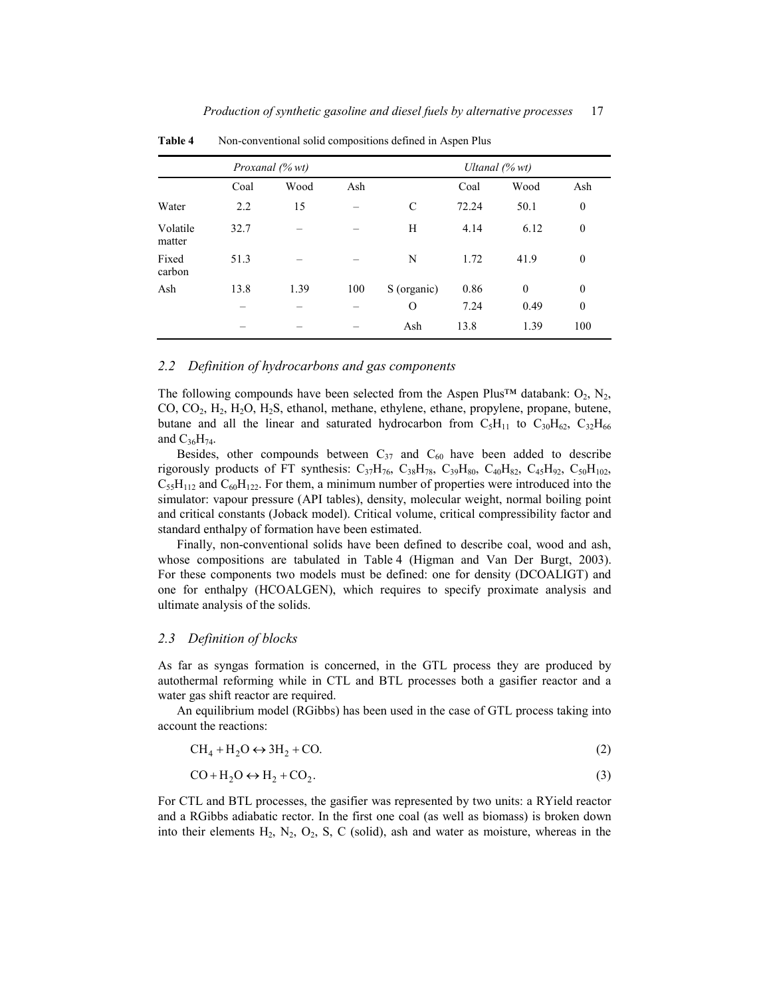|                    |      | Proxanal (% wt) |     | Ultanal $(\%$ wt) |       |              |                  |
|--------------------|------|-----------------|-----|-------------------|-------|--------------|------------------|
|                    | Coal | Wood            | Ash |                   | Coal  | Wood         | Ash              |
| Water              | 2.2  | 15              |     | C                 | 72.24 | 50.1         | $\boldsymbol{0}$ |
| Volatile<br>matter | 32.7 |                 |     | Н                 | 4.14  | 6.12         | $\boldsymbol{0}$ |
| Fixed<br>carbon    | 51.3 |                 |     | N                 | 1.72  | 41.9         | $\boldsymbol{0}$ |
| Ash                | 13.8 | 1.39            | 100 | S (organic)       | 0.86  | $\mathbf{0}$ | $\boldsymbol{0}$ |
|                    |      |                 |     | O                 | 7.24  | 0.49         | $\boldsymbol{0}$ |
|                    |      |                 |     | Ash               | 13.8  | 1.39         | 100              |

Table 4 Non-conventional solid compositions defined in Aspen Plus

# *2.2 Definition of hydrocarbons and gas components*

The following compounds have been selected from the Aspen Plus<sup>™</sup> databank:  $O_2$ ,  $N_2$ , CO, CO<sub>2</sub>, H<sub>2</sub>, H<sub>2</sub>O, H<sub>2</sub>S, ethanol, methane, ethylene, ethane, propylene, propane, butene, butane and all the linear and saturated hydrocarbon from  $C_5H_{11}$  to  $C_{30}H_{62}$ ,  $C_{32}H_{66}$ and  $C_{36}H_{74}$ .

Besides, other compounds between  $C_{37}$  and  $C_{60}$  have been added to describe rigorously products of FT synthesis:  $C_{37}H_{76}$ ,  $C_{38}H_{78}$ ,  $C_{39}H_{80}$ ,  $C_{40}H_{82}$ ,  $C_{45}H_{92}$ ,  $C_{50}H_{102}$ ,  $C_{55}H_{112}$  and  $C_{60}H_{122}$ . For them, a minimum number of properties were introduced into the simulator: vapour pressure (API tables), density, molecular weight, normal boiling point and critical constants (Joback model). Critical volume, critical compressibility factor and standard enthalpy of formation have been estimated.

Finally, non-conventional solids have been defined to describe coal, wood and ash, whose compositions are tabulated in Table 4 (Higman and Van Der Burgt, 2003). For these components two models must be defined: one for density (DCOALIGT) and one for enthalpy (HCOALGEN), which requires to specify proximate analysis and ultimate analysis of the solids.

## *2.3 Definition of blocks*

As far as syngas formation is concerned, in the GTL process they are produced by autothermal reforming while in CTL and BTL processes both a gasifier reactor and a water gas shift reactor are required.

An equilibrium model (RGibbs) has been used in the case of GTL process taking into account the reactions:

$$
CH_4 + H_2O \leftrightarrow 3H_2 + CO.
$$
 (2)

$$
CO + H_2O \leftrightarrow H_2 + CO_2. \tag{3}
$$

For CTL and BTL processes, the gasifier was represented by two units: a RYield reactor and a RGibbs adiabatic rector. In the first one coal (as well as biomass) is broken down into their elements  $H_2$ ,  $N_2$ ,  $O_2$ ,  $S$ ,  $C$  (solid), ash and water as moisture, whereas in the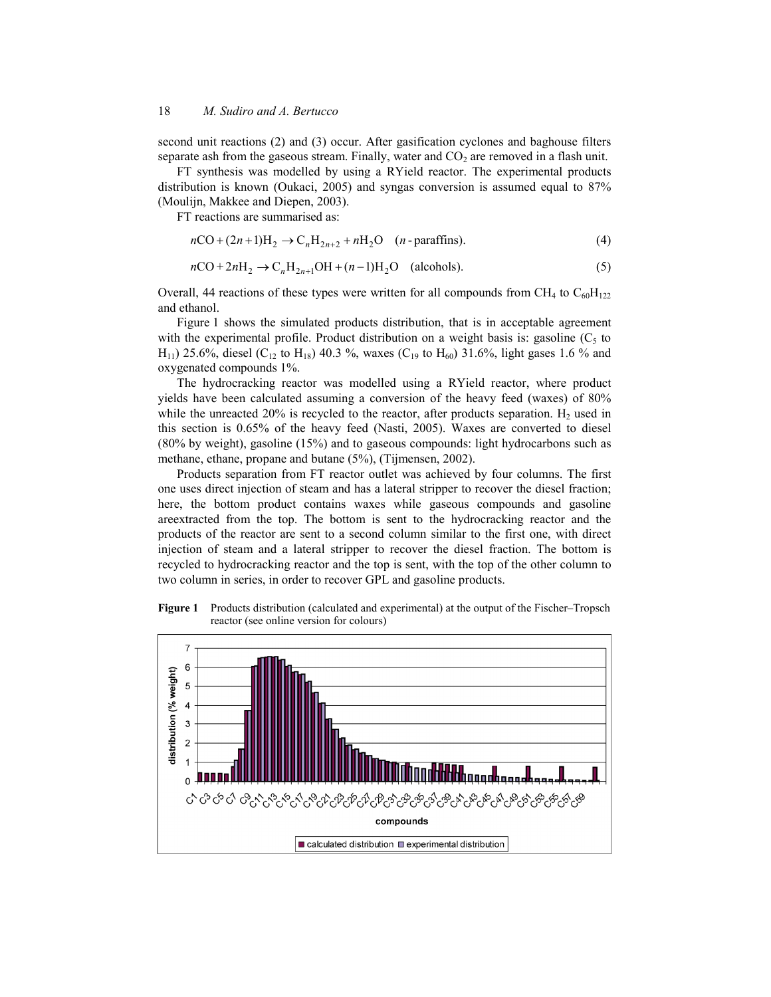second unit reactions (2) and (3) occur. After gasification cyclones and baghouse filters separate ash from the gaseous stream. Finally, water and  $CO<sub>2</sub>$  are removed in a flash unit.

FT synthesis was modelled by using a RYield reactor. The experimental products distribution is known (Oukaci, 2005) and syngas conversion is assumed equal to 87% (Moulijn, Makkee and Diepen, 2003).

FT reactions are summarised as:

$$
nCO + (2n+1)H_2 \rightarrow C_n H_{2n+2} + nH_2 O \quad (n-\text{paraffins}).
$$
\n(4)

$$
n\text{CO} + 2n\text{H}_2 \rightarrow \text{C}_n\text{H}_{2n+1}\text{OH} + (n-1)\text{H}_2\text{O} \quad \text{(alcohols)}.
$$
 (5)

Overall, 44 reactions of these types were written for all compounds from CH<sub>4</sub> to  $C_{60}H_{122}$ and ethanol.

Figure 1 shows the simulated products distribution, that is in acceptable agreement with the experimental profile. Product distribution on a weight basis is: gasoline  $(C_5$  to  $H_{11}$ ) 25.6%, diesel (C<sub>12</sub> to H<sub>18</sub>) 40.3 %, waxes (C<sub>19</sub> to H<sub>60</sub>) 31.6%, light gases 1.6 % and oxygenated compounds 1%.

The hydrocracking reactor was modelled using a RYield reactor, where product yields have been calculated assuming a conversion of the heavy feed (waxes) of 80% while the unreacted 20% is recycled to the reactor, after products separation.  $H_2$  used in this section is 0.65% of the heavy feed (Nasti, 2005). Waxes are converted to diesel (80% by weight), gasoline (15%) and to gaseous compounds: light hydrocarbons such as methane, ethane, propane and butane (5%), (Tijmensen, 2002).

Products separation from FT reactor outlet was achieved by four columns. The first one uses direct injection of steam and has a lateral stripper to recover the diesel fraction; here, the bottom product contains waxes while gaseous compounds and gasoline areextracted from the top. The bottom is sent to the hydrocracking reactor and the products of the reactor are sent to a second column similar to the first one, with direct injection of steam and a lateral stripper to recover the diesel fraction. The bottom is recycled to hydrocracking reactor and the top is sent, with the top of the other column to two column in series, in order to recover GPL and gasoline products.

**Figure 1** Products distribution (calculated and experimental) at the output of the Fischer–Tropsch reactor (see online version for colours)

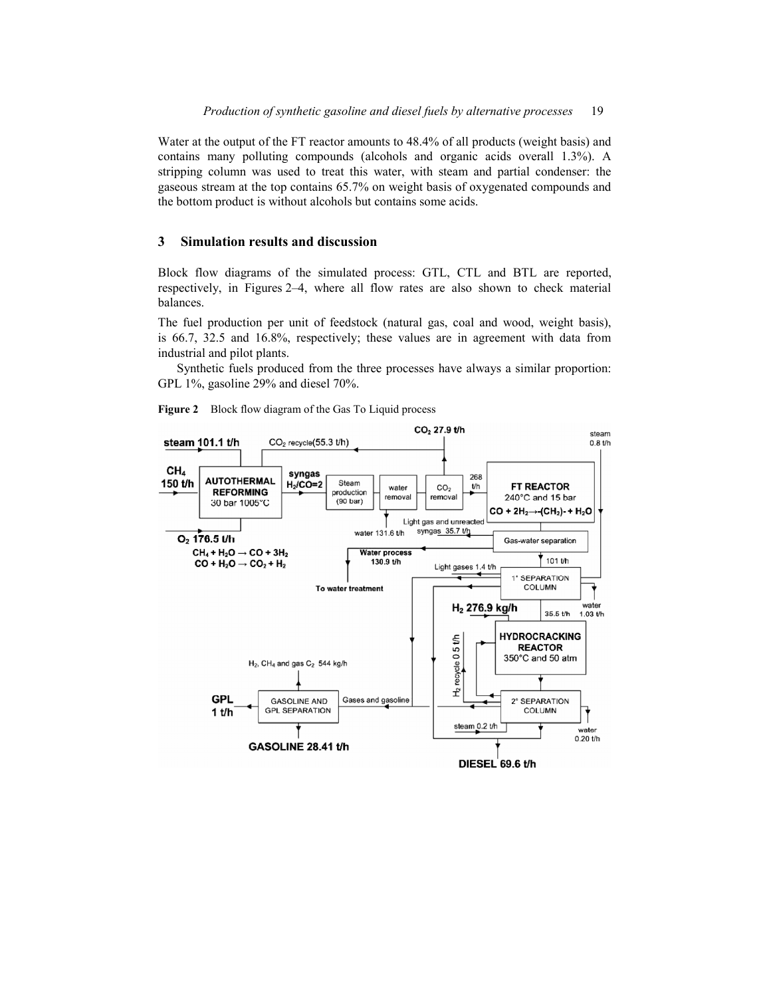Water at the output of the FT reactor amounts to 48.4% of all products (weight basis) and contains many polluting compounds (alcohols and organic acids overall 1.3%). A stripping column was used to treat this water, with steam and partial condenser: the gaseous stream at the top contains 65.7% on weight basis of oxygenated compounds and the bottom product is without alcohols but contains some acids.

# **3 Simulation results and discussion**

Block flow diagrams of the simulated process: GTL, CTL and BTL are reported, respectively, in Figures 2–4, where all flow rates are also shown to check material balances.

The fuel production per unit of feedstock (natural gas, coal and wood, weight basis), is 66.7, 32.5 and 16.8%, respectively; these values are in agreement with data from industrial and pilot plants.

Synthetic fuels produced from the three processes have always a similar proportion: GPL 1%, gasoline 29% and diesel 70%.



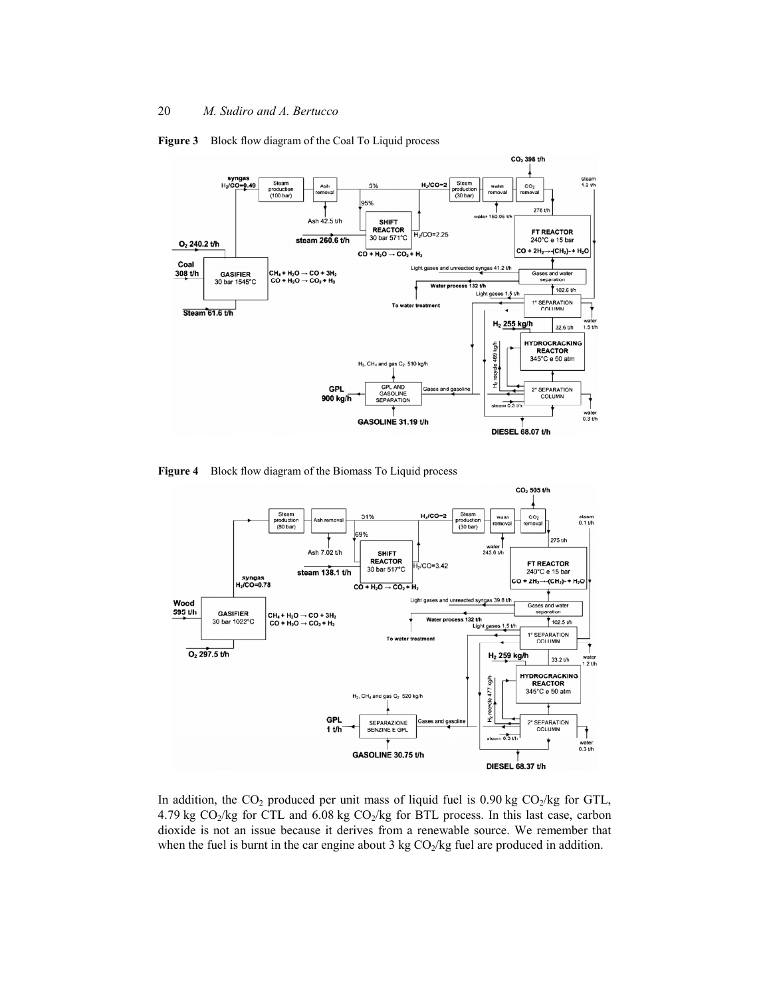

**Figure 3** Block flow diagram of the Coal To Liquid process

**Figure 4** Block flow diagram of the Biomass To Liquid process



In addition, the  $CO_2$  produced per unit mass of liquid fuel is 0.90 kg  $CO_2/kg$  for GTL, 4.79 kg  $CO_2/kg$  for CTL and 6.08 kg  $CO_2/kg$  for BTL process. In this last case, carbon dioxide is not an issue because it derives from a renewable source. We remember that when the fuel is burnt in the car engine about 3 kg  $CO<sub>2</sub>/kg$  fuel are produced in addition.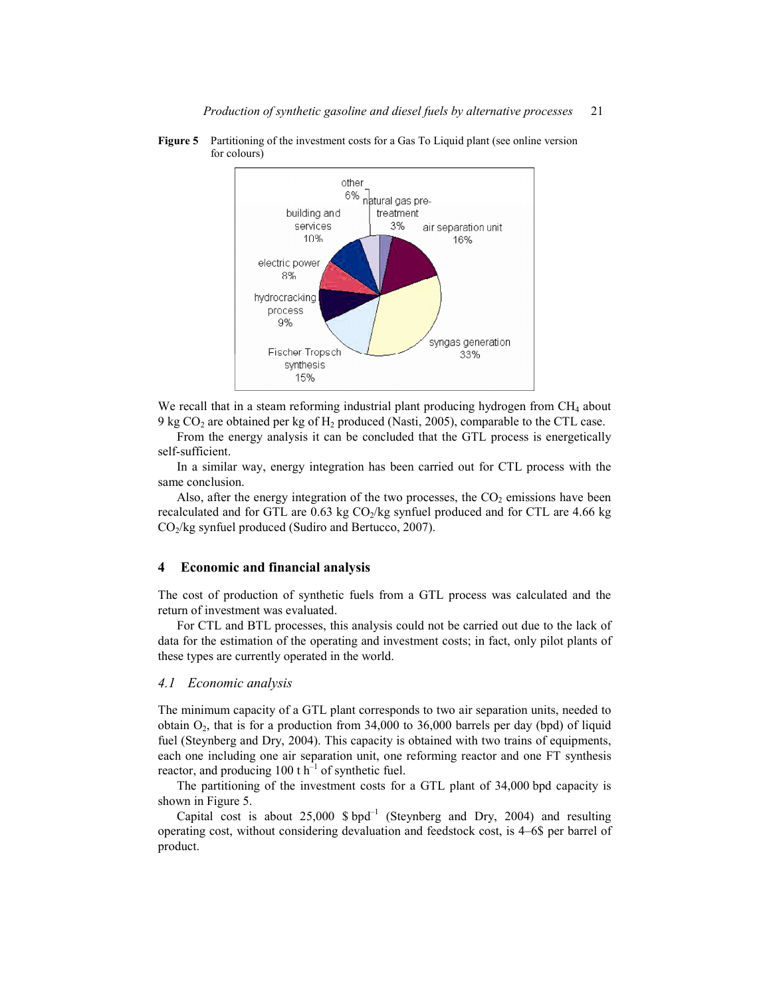

**Figure 5** Partitioning of the investment costs for a Gas To Liquid plant (see online version for colours)

We recall that in a steam reforming industrial plant producing hydrogen from CH<sub>4</sub> about 9 kg  $CO<sub>2</sub>$  are obtained per kg of  $H<sub>2</sub>$  produced (Nasti, 2005), comparable to the CTL case.

From the energy analysis it can be concluded that the GTL process is energetically self-sufficient.

In a similar way, energy integration has been carried out for CTL process with the same conclusion.

Also, after the energy integration of the two processes, the  $CO<sub>2</sub>$  emissions have been recalculated and for GTL are  $0.63$  kg  $CO<sub>2</sub>/kg$  synfuel produced and for CTL are 4.66 kg  $CO<sub>2</sub>/kg$  synfuel produced (Sudiro and Bertucco, 2007).

# **4 Economic and financial analysis**

The cost of production of synthetic fuels from a GTL process was calculated and the return of investment was evaluated.

For CTL and BTL processes, this analysis could not be carried out due to the lack of data for the estimation of the operating and investment costs; in fact, only pilot plants of these types are currently operated in the world.

#### *4.1 Economic analysis*

The minimum capacity of a GTL plant corresponds to two air separation units, needed to obtain  $O_2$ , that is for a production from 34,000 to 36,000 barrels per day (bpd) of liquid fuel (Steynberg and Dry, 2004). This capacity is obtained with two trains of equipments, each one including one air separation unit, one reforming reactor and one FT synthesis reactor, and producing  $100 \text{ t h}^{-1}$  of synthetic fuel.

The partitioning of the investment costs for a GTL plant of 34,000 bpd capacity is shown in Figure 5.

Capital cost is about  $25,000$  \$ bpd<sup>-1</sup> (Steynberg and Dry, 2004) and resulting operating cost, without considering devaluation and feedstock cost, is 4–6\$ per barrel of product.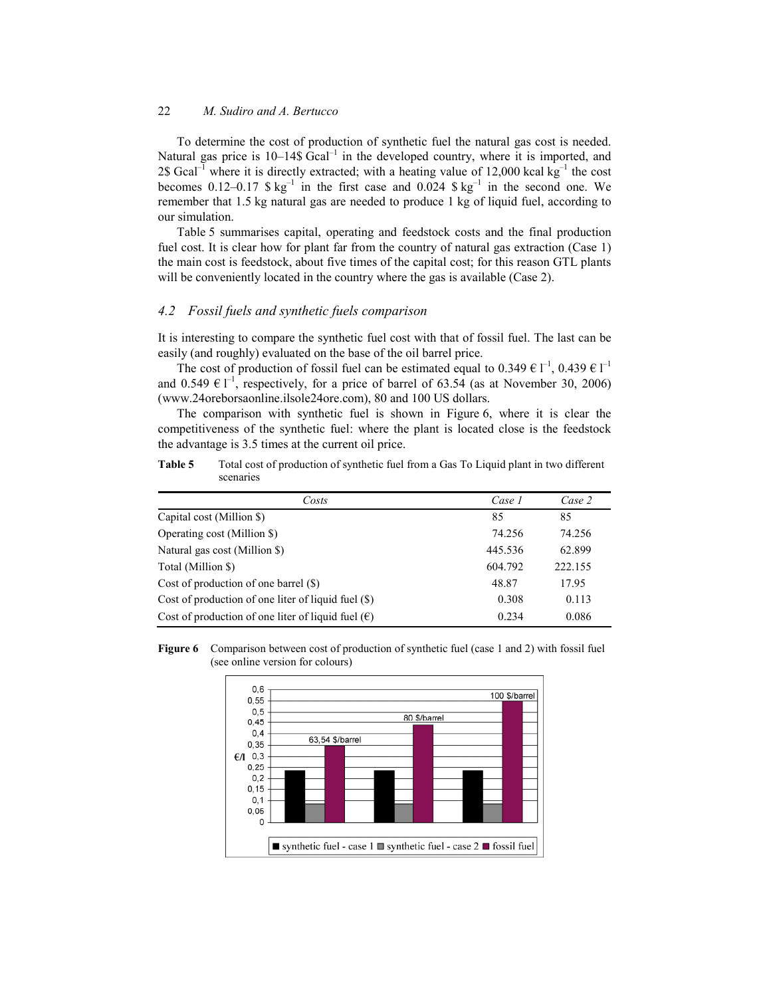To determine the cost of production of synthetic fuel the natural gas cost is needed. Natural gas price is  $10-14\$  Gcal<sup>-1</sup> in the developed country, where it is imported, and 2\$ Gcal<sup>-1</sup> where it is directly extracted; with a heating value of 12,000 kcal kg<sup>-1</sup> the cost becomes 0.12–0.17  $\$  kg<sup>-1</sup> in the first case and 0.024  $\$  kg<sup>-1</sup> in the second one. We remember that 1.5 kg natural gas are needed to produce 1 kg of liquid fuel, according to our simulation.

Table 5 summarises capital, operating and feedstock costs and the final production fuel cost. It is clear how for plant far from the country of natural gas extraction (Case 1) the main cost is feedstock, about five times of the capital cost; for this reason GTL plants will be conveniently located in the country where the gas is available (Case 2).

# *4.2 Fossil fuels and synthetic fuels comparison*

It is interesting to compare the synthetic fuel cost with that of fossil fuel. The last can be easily (and roughly) evaluated on the base of the oil barrel price.

The cost of production of fossil fuel can be estimated equal to  $0.349 \in I^{-1}$ ,  $0.439 \in I^{-1}$ and 0.549  $\in$  l<sup>-1</sup>, respectively, for a price of barrel of 63.54 (as at November 30, 2006) (www.24oreborsaonline.ilsole24ore.com), 80 and 100 US dollars.

The comparison with synthetic fuel is shown in Figure 6, where it is clear the competitiveness of the synthetic fuel: where the plant is located close is the feedstock the advantage is 3.5 times at the current oil price.

**Table 5** Total cost of production of synthetic fuel from a Gas To Liquid plant in two different scenaries

| Case 1<br>Case 2<br>85 |
|------------------------|
|                        |
|                        |
| 74.256<br>74.256       |
| 62.899<br>445.536      |
| 604.792<br>222.155     |
| 17.95<br>48.87         |
| 0.308<br>0.113         |
| 0.234<br>0.086         |
|                        |

**Figure 6** Comparison between cost of production of synthetic fuel (case 1 and 2) with fossil fuel (see online version for colours)

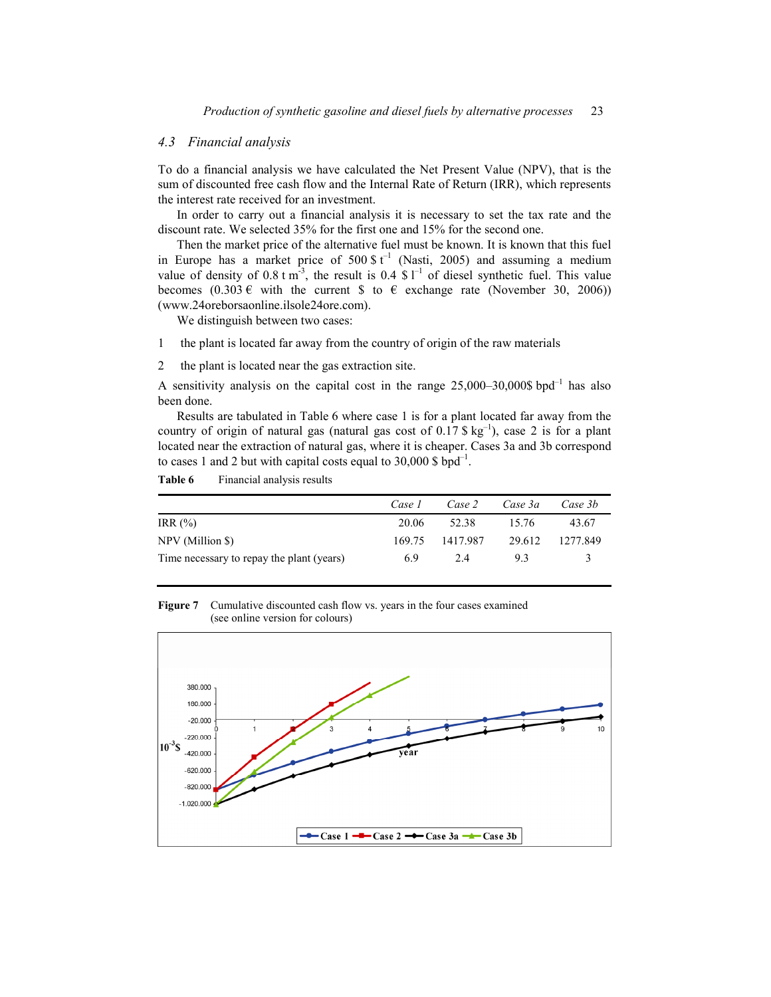## *4.3 Financial analysis*

To do a financial analysis we have calculated the Net Present Value (NPV), that is the sum of discounted free cash flow and the Internal Rate of Return (IRR), which represents the interest rate received for an investment.

In order to carry out a financial analysis it is necessary to set the tax rate and the discount rate. We selected 35% for the first one and 15% for the second one.

Then the market price of the alternative fuel must be known. It is known that this fuel in Europe has a market price of  $500 \text{ s t}^{-1}$  (Nasti, 2005) and assuming a medium value of density of 0.8 t m<sup>-3</sup>, the result is 0.4 \$  $\Gamma$ <sup>1</sup> of diesel synthetic fuel. This value becomes  $(0.303 \epsilon \text{ with the current } \text{\$ to } \epsilon \text{ exchange rate (November 30, 2006))$ (www.24oreborsaonline.ilsole24ore.com).

We distinguish between two cases:

- 1 the plant is located far away from the country of origin of the raw materials
- 2 the plant is located near the gas extraction site.

A sensitivity analysis on the capital cost in the range  $25,000-30,000\$  bpd<sup>-1</sup> has also been done.

Results are tabulated in Table 6 where case 1 is for a plant located far away from the country of origin of natural gas (natural gas cost of  $0.17 \text{ S kg}^{-1}$ ), case 2 is for a plant located near the extraction of natural gas, where it is cheaper. Cases 3a and 3b correspond to cases 1 and 2 but with capital costs equal to  $30,000 \text{ s}$  bpd<sup>-1</sup>.

### Table 6 Financial analysis results

|                                           | Case 1 | Case 2   | Case 3a | Case 3b  |
|-------------------------------------------|--------|----------|---------|----------|
| IRR $(\%)$                                | 20.06  | 52.38    | 15.76   | 43.67    |
| NPV (Million \$)                          | 169.75 | 1417 987 | 29.612  | 1277.849 |
| Time necessary to repay the plant (years) | 6.9    | 2.4      | 93      |          |

**Figure 7** Cumulative discounted cash flow vs. years in the four cases examined (see online version for colours)

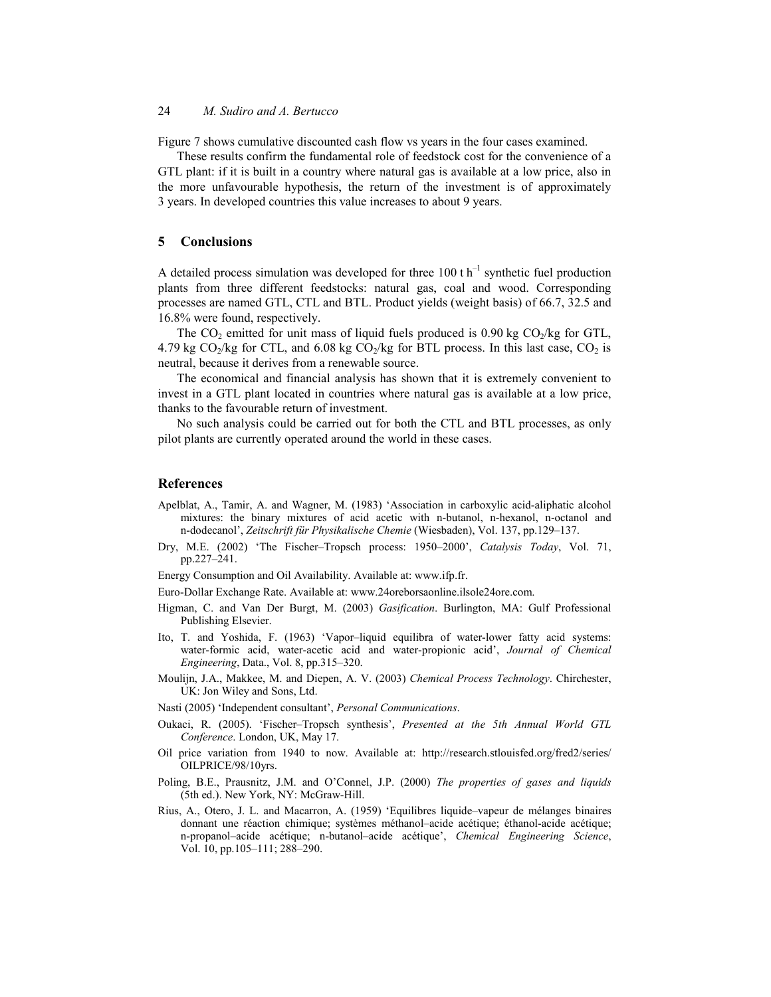Figure 7 shows cumulative discounted cash flow vs years in the four cases examined.

These results confirm the fundamental role of feedstock cost for the convenience of a GTL plant: if it is built in a country where natural gas is available at a low price, also in the more unfavourable hypothesis, the return of the investment is of approximately 3 years. In developed countries this value increases to about 9 years.

## **5 Conclusions**

A detailed process simulation was developed for three 100 t  $h^{-1}$  synthetic fuel production plants from three different feedstocks: natural gas, coal and wood. Corresponding processes are named GTL, CTL and BTL. Product yields (weight basis) of 66.7, 32.5 and 16.8% were found, respectively.

The  $CO_2$  emitted for unit mass of liquid fuels produced is 0.90 kg  $CO_2/kg$  for GTL, 4.79 kg  $CO<sub>2</sub>/kg$  for CTL, and 6.08 kg  $CO<sub>2</sub>/kg$  for BTL process. In this last case,  $CO<sub>2</sub>$  is neutral, because it derives from a renewable source.

The economical and financial analysis has shown that it is extremely convenient to invest in a GTL plant located in countries where natural gas is available at a low price, thanks to the favourable return of investment.

No such analysis could be carried out for both the CTL and BTL processes, as only pilot plants are currently operated around the world in these cases.

### **References**

- Apelblat, A., Tamir, A. and Wagner, M. (1983) 'Association in carboxylic acid-aliphatic alcohol mixtures: the binary mixtures of acid acetic with n-butanol, n-hexanol, n-octanol and n-dodecanol', *Zeitschrift für Physikalische Chemie* (Wiesbaden), Vol. 137, pp.129–137.
- Dry, M.E. (2002) 'The Fischer–Tropsch process: 1950–2000', *Catalysis Today*, Vol. 71, pp.227–241.
- Energy Consumption and Oil Availability. Available at: www.ifp.fr.

Euro-Dollar Exchange Rate. Available at: www.24oreborsaonline.ilsole24ore.com.

- Higman, C. and Van Der Burgt, M. (2003) *Gasification*. Burlington, MA: Gulf Professional Publishing Elsevier.
- Ito, T. and Yoshida, F. (1963) 'Vapor–liquid equilibra of water-lower fatty acid systems: water-formic acid, water-acetic acid and water-propionic acid', *Journal of Chemical Engineering*, Data., Vol. 8, pp.315–320.
- Moulijn, J.A., Makkee, M. and Diepen, A. V. (2003) *Chemical Process Technology*. Chirchester, UK: Jon Wiley and Sons, Ltd.
- Nasti (2005) 'Independent consultant', *Personal Communications*.
- Oukaci, R. (2005). 'Fischer–Tropsch synthesis', *Presented at the 5th Annual World GTL Conference*. London, UK, May 17.
- Oil price variation from 1940 to now. Available at: http://research.stlouisfed.org/fred2/series/ OILPRICE/98/10yrs.
- Poling, B.E., Prausnitz, J.M. and O'Connel, J.P. (2000) *The properties of gases and liquids* (5th ed.). New York, NY: McGraw-Hill.
- Rius, A., Otero, J. L. and Macarron, A. (1959) 'Equilibres liquide–vapeur de mélanges binaires donnant une réaction chimique; systèmes méthanol–acide acétique; éthanol-acide acétique; n-propanol–acide acétique; n-butanol–acide acétique', *Chemical Engineering Science*, Vol. 10, pp.105–111; 288–290.